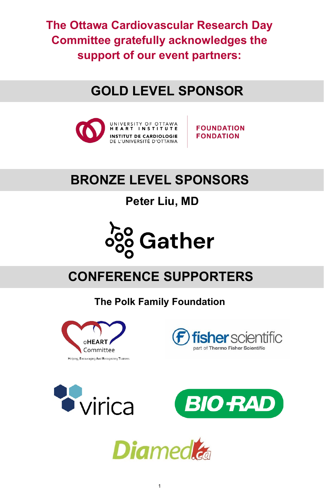**The Ottawa Cardiovascular Research Day Committee gratefully acknowledges the support of our event partners:**

### **GOLD LEVEL SPONSOR**



**FOUNDATION FONDATION** 

### **BRONZE LEVEL SPONSORS**

**Peter Liu, MD**



# **CONFERENCE SUPPORTERS**

**The Polk Family Foundation**









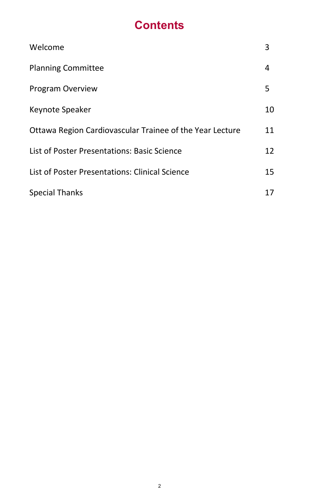### **Contents**

| Welcome                                                  | 3  |
|----------------------------------------------------------|----|
| <b>Planning Committee</b>                                | 4  |
| Program Overview                                         | 5  |
| Keynote Speaker                                          | 10 |
| Ottawa Region Cardiovascular Trainee of the Year Lecture | 11 |
| List of Poster Presentations: Basic Science              | 12 |
| List of Poster Presentations: Clinical Science           | 15 |
| <b>Special Thanks</b>                                    | 17 |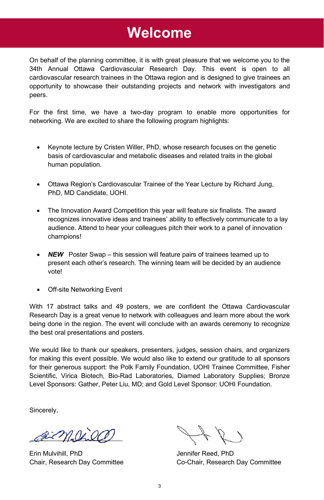### **Welcome**

On behalf of the planning committee, it is with great pleasure that we welcome you to the 34th Annual Ottawa Cardiovascular Research Day. This event is open to all cardiovascular research trainees in the Ottawa region and is designed to give trainees an opportunity to showcase their outstanding projects and network with investigators and peers.

For the first time, we have a two-day program to enable more opportunities for networking. We are excited to share the following program highlights:

- Keynote lecture by Cristen Willer, PhD, whose research focuses on the genetic basis of cardiovascular and metabolic diseases and related traits in the global human population.
- Ottawa Region's Cardiovascular Trainee of the Year Lecture by Richard Jung, PhD, MD Candidate, UOHI.
- The Innovation Award Competition this year will feature six finalists. The award recognizes innovative ideas and trainees' ability to effectively communicate to a lay audience. Attend to hear your colleagues pitch their work to a panel of innovation champions!
- **NEW** Poster Swap this session will feature pairs of trainees teamed up to present each other's research. The winning team will be decided by an audience vote!
- Off-site Networking Event

With 17 abstract talks and 49 posters, we are confident the Ottawa Cardiovascular Research Day is a great venue to network with colleagues and learn more about the work being done in the region. The event will conclude with an awards ceremony to recognize the best oral presentations and posters.

We would like to thank our speakers, presenters, judges, session chairs, and organizers for making this event possible. We would also like to extend our gratitude to all sponsors for their generous support: the Polk Family Foundation, UOHI Trainee Committee, Fisher Scientific, Virica Biotech, Bio-Rad Laboratories, Diamed Laboratory Supplies; Bronze Level Sponsors: Gather, Peter Liu, MD; and Gold Level Sponsor: UOHI Foundation.

Sincerely,

aimpires

Erin Mulvihill, PhD Jennifer Reed, PhD

Chair, Research Day Committee Co-Chair, Research Day Committee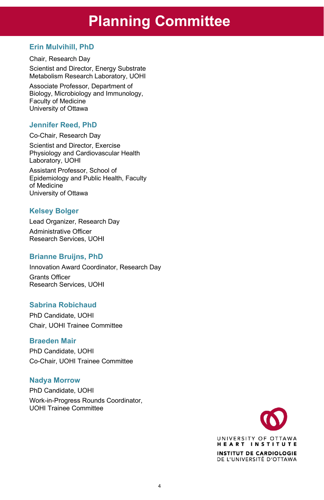### **Planning Committee**

#### **Erin Mulvihill, PhD**

Chair, Research Day Scientist and Director, Energy Substrate Metabolism Research Laboratory, UOHI

Metabolism Research Laboratory, U<br>Associate Professor, Department of Biology, Microbiology and Immunology, Faculty of Medicine University of Ottawa

#### **Jennifer Reed, PhD**

Co-Chair, Research Day

Scientist and Director, Exercise Physiology and Cardiovascular Health Laboratory, UOHI

Assistant Professor, School of Epidemiology and Public Health, Faculty of Medicine University of Ottawa

#### **Kelsey Bolger**

Lead Organizer, Research Day Administrative Officer Research Services, UOHI

#### **Brianne Bruijns, PhD**

Innovation Award Coordinator, Research Day Grants Officer Research Services, UOHI

#### **Sabrina Robichaud**

PhD Candidate, UOHI Chair, UOHI Trainee Committee

#### **Braeden Mair**

PhD Candidate, UOHI Co-Chair, UOHI Trainee Committee

#### **Nadya Morrow**

PhD Candidate, UOHI Work-in-Progress Rounds Coordinator, UOHI Trainee Committee

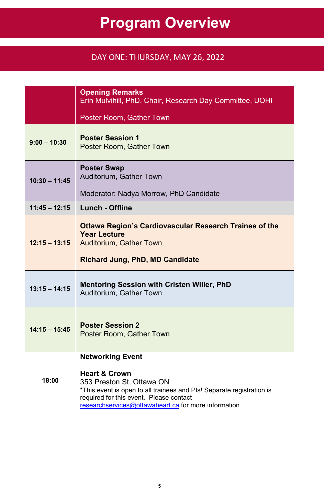# **Program Overview**

#### DAY ONE: THURSDAY, MAY 26, 2022

|                 | <b>Opening Remarks</b><br>Erin Mulvihill, PhD, Chair, Research Day Committee, UOHI                                                                                                                                                                            |
|-----------------|---------------------------------------------------------------------------------------------------------------------------------------------------------------------------------------------------------------------------------------------------------------|
|                 | Poster Room, Gather Town                                                                                                                                                                                                                                      |
| $9:00 - 10:30$  | <b>Poster Session 1</b><br>Poster Room, Gather Town                                                                                                                                                                                                           |
| $10:30 - 11:45$ | <b>Poster Swap</b><br>Auditorium, Gather Town                                                                                                                                                                                                                 |
|                 | Moderator: Nadya Morrow, PhD Candidate                                                                                                                                                                                                                        |
| $11:45 - 12:15$ | <b>Lunch - Offline</b>                                                                                                                                                                                                                                        |
| $12:15 - 13:15$ | <b>Ottawa Region's Cardiovascular Research Trainee of the</b><br><b>Year Lecture</b><br>Auditorium, Gather Town<br><b>Richard Jung, PhD, MD Candidate</b>                                                                                                     |
| $13:15 - 14:15$ | Mentoring Session with Cristen Willer, PhD<br>Auditorium. Gather Town                                                                                                                                                                                         |
| $14:15 - 15:45$ | <b>Poster Session 2</b><br>Poster Room, Gather Town                                                                                                                                                                                                           |
| 18:00           | <b>Networking Event</b><br><b>Heart &amp; Crown</b><br>353 Preston St. Ottawa ON<br>*This event is open to all trainees and PIs! Separate registration is<br>required for this event. Please contact<br>researchservices@ottawaheart.ca for more information. |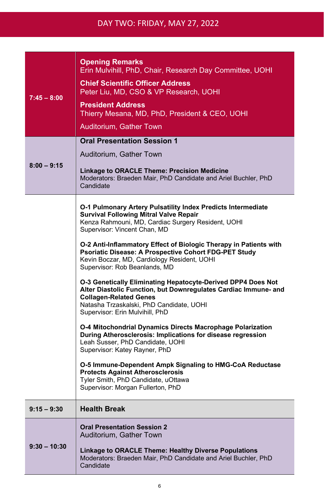| $7:45 - 8:00$  | <b>Opening Remarks</b><br>Erin Mulvihill, PhD, Chair, Research Day Committee, UOHI<br><b>Chief Scientific Officer Address</b><br>Peter Liu, MD, CSO & VP Research, UOHI<br><b>President Address</b><br>Thierry Mesana, MD, PhD, President & CEO, UOHI<br>Auditorium. Gather Town                                                                                                                                                                                                                                                                                                                                                                                                                                                                                                                                                                                                                                                                                                                                                                          |
|----------------|-----------------------------------------------------------------------------------------------------------------------------------------------------------------------------------------------------------------------------------------------------------------------------------------------------------------------------------------------------------------------------------------------------------------------------------------------------------------------------------------------------------------------------------------------------------------------------------------------------------------------------------------------------------------------------------------------------------------------------------------------------------------------------------------------------------------------------------------------------------------------------------------------------------------------------------------------------------------------------------------------------------------------------------------------------------|
| $8:00 - 9:15$  | <b>Oral Presentation Session 1</b><br>Auditorium, Gather Town<br><b>Linkage to ORACLE Theme: Precision Medicine</b><br>Moderators: Braeden Mair, PhD Candidate and Ariel Buchler, PhD<br>Candidate                                                                                                                                                                                                                                                                                                                                                                                                                                                                                                                                                                                                                                                                                                                                                                                                                                                        |
|                | O-1 Pulmonary Artery Pulsatility Index Predicts Intermediate<br><b>Survival Following Mitral Valve Repair</b><br>Kenza Rahmouni, MD, Cardiac Surgery Resident, UOHI<br>Supervisor: Vincent Chan, MD<br>O-2 Anti-Inflammatory Effect of Biologic Therapy in Patients with<br>Psoriatic Disease: A Prospective Cohort FDG-PET Study<br>Kevin Boczar, MD, Cardiology Resident, UOHI<br>Supervisor: Rob Beanlands, MD<br>O-3 Genetically Eliminating Hepatocyte-Derived DPP4 Does Not<br>Alter Diastolic Function, but Downregulates Cardiac Immune- and<br><b>Collagen-Related Genes</b><br>Natasha Trzaskalski, PhD Candidate, UOHI<br>Supervisor: Erin Mulvihill, PhD<br>O-4 Mitochondrial Dynamics Directs Macrophage Polarization<br>During Atherosclerosis: Implications for disease regression<br>Leah Susser, PhD Candidate, UOHI<br>Supervisor: Katey Rayner, PhD<br>O-5 Immune-Dependent Ampk Signaling to HMG-CoA Reductase<br><b>Protects Against Atherosclerosis</b><br>Tyler Smith, PhD Candidate, uOttawa<br>Supervisor: Morgan Fullerton, PhD |
| $9:15 - 9:30$  | <b>Health Break</b>                                                                                                                                                                                                                                                                                                                                                                                                                                                                                                                                                                                                                                                                                                                                                                                                                                                                                                                                                                                                                                       |
| $9:30 - 10:30$ | <b>Oral Presentation Session 2</b><br>Auditorium, Gather Town<br>Linkage to ORACLE Theme: Healthy Diverse Populations<br>Moderators: Braeden Mair, PhD Candidate and Ariel Buchler, PhD<br>Candidate                                                                                                                                                                                                                                                                                                                                                                                                                                                                                                                                                                                                                                                                                                                                                                                                                                                      |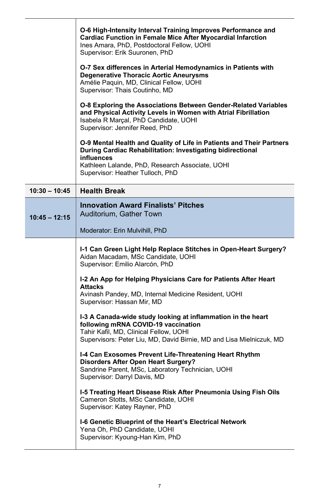|                 | O-6 High-Intensity Interval Training Improves Performance and<br><b>Cardiac Function in Female Mice After Myocardial Infarction</b><br>Ines Amara, PhD, Postdoctoral Fellow, UOHI<br>Supervisor: Erik Suuronen, PhD                     |
|-----------------|-----------------------------------------------------------------------------------------------------------------------------------------------------------------------------------------------------------------------------------------|
|                 | O-7 Sex differences in Arterial Hemodynamics in Patients with<br><b>Degenerative Thoracic Aortic Aneurysms</b><br>Amélie Paquin, MD, Clinical Fellow, UOHI<br>Supervisor: Thais Coutinho, MD                                            |
|                 | O-8 Exploring the Associations Between Gender-Related Variables<br>and Physical Activity Levels in Women with Atrial Fibrillation<br>Isabela R Marcal, PhD Candidate, UOHI<br>Supervisor: Jennifer Reed, PhD                            |
|                 | O-9 Mental Health and Quality of Life in Patients and Their Partners<br>During Cardiac Rehabilitation: Investigating bidirectional<br>influences<br>Kathleen Lalande, PhD, Research Associate, UOHI<br>Supervisor: Heather Tulloch, PhD |
| $10:30 - 10:45$ | <b>Health Break</b>                                                                                                                                                                                                                     |
| $10:45 - 12:15$ | <b>Innovation Award Finalists' Pitches</b><br>Auditorium, Gather Town<br>Moderator: Erin Mulvihill, PhD                                                                                                                                 |
|                 | I-1 Can Green Light Help Replace Stitches in Open-Heart Surgery?<br>Aidan Macadam, MSc Candidate, UOHI<br>Supervisor: Emilio Alarcón, PhD                                                                                               |
|                 | I-2 An App for Helping Physicians Care for Patients After Heart<br><b>Attacks</b><br>Avinash Pandey, MD, Internal Medicine Resident, UOHI<br>Supervisor: Hassan Mir, MD                                                                 |
|                 | I-3 A Canada-wide study looking at inflammation in the heart<br>following mRNA COVID-19 vaccination<br>Tahir Kafil, MD, Clinical Fellow, UOHI<br>Supervisors: Peter Liu, MD, David Birnie, MD and Lisa Mielniczuk, MD                   |
|                 | I-4 Can Exosomes Prevent Life-Threatening Heart Rhythm<br>Disorders After Open Heart Surgery?<br>Sandrine Parent, MSc, Laboratory Technician, UOHI<br>Supervisor: Darryl Davis, MD                                                      |
|                 | I-5 Treating Heart Disease Risk After Pneumonia Using Fish Oils<br>Cameron Stotts, MSc Candidate, UOHI<br>Supervisor: Katey Rayner, PhD                                                                                                 |
|                 | I-6 Genetic Blueprint of the Heart's Electrical Network                                                                                                                                                                                 |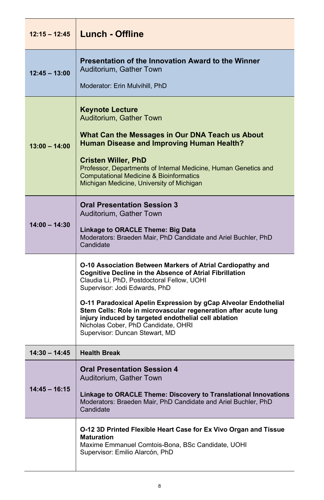| $12:15 - 12:45$ | Lunch - Offline                                                                                                                                                                                                                                                                                                                                                                                                                                                                    |
|-----------------|------------------------------------------------------------------------------------------------------------------------------------------------------------------------------------------------------------------------------------------------------------------------------------------------------------------------------------------------------------------------------------------------------------------------------------------------------------------------------------|
| $12:45 - 13:00$ | Presentation of the Innovation Award to the Winner<br>Auditorium, Gather Town<br>Moderator: Erin Mulvihill, PhD                                                                                                                                                                                                                                                                                                                                                                    |
| $13:00 - 14:00$ | <b>Keynote Lecture</b><br>Auditorium, Gather Town<br>What Can the Messages in Our DNA Teach us About<br>Human Disease and Improving Human Health?<br><b>Cristen Willer, PhD</b><br>Professor, Departments of Internal Medicine, Human Genetics and<br><b>Computational Medicine &amp; Bioinformatics</b><br>Michigan Medicine, University of Michigan                                                                                                                              |
| $14:00 - 14:30$ | <b>Oral Presentation Session 3</b><br>Auditorium, Gather Town<br>Linkage to ORACLE Theme: Big Data<br>Moderators: Braeden Mair, PhD Candidate and Ariel Buchler, PhD<br>Candidate                                                                                                                                                                                                                                                                                                  |
|                 | O-10 Association Between Markers of Atrial Cardiopathy and<br><b>Cognitive Decline in the Absence of Atrial Fibrillation</b><br>Claudia Li, PhD, Postdoctoral Fellow, UOHI<br>Supervisor: Jodi Edwards, PhD<br>O-11 Paradoxical Apelin Expression by gCap Alveolar Endothelial<br>Stem Cells: Role in microvascular regeneration after acute lung<br>injury induced by targeted endothelial cell ablation<br>Nicholas Cober, PhD Candidate, OHRI<br>Supervisor: Duncan Stewart, MD |
| $14:30 - 14:45$ | <b>Health Break</b>                                                                                                                                                                                                                                                                                                                                                                                                                                                                |
| 14:45 – 16:15   | <b>Oral Presentation Session 4</b><br>Auditorium, Gather Town<br>Linkage to ORACLE Theme: Discovery to Translational Innovations<br>Moderators: Braeden Mair, PhD Candidate and Ariel Buchler, PhD<br>Candidate                                                                                                                                                                                                                                                                    |
|                 | O-12 3D Printed Flexible Heart Case for Ex Vivo Organ and Tissue<br><b>Maturation</b><br>Maxime Emmanuel Comtois-Bona, BSc Candidate, UOHI<br>Supervisor: Emilio Alarcón, PhD                                                                                                                                                                                                                                                                                                      |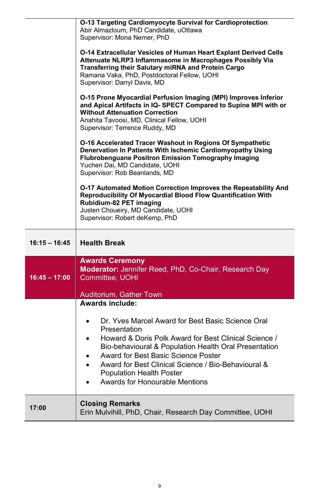|                 | O-13 Targeting Cardiomyocyte Survival for Cardioprotection<br>Abir Almazloum, PhD Candidate, uOttawa                                                                                                                                                                                                                                                                                                            |
|-----------------|-----------------------------------------------------------------------------------------------------------------------------------------------------------------------------------------------------------------------------------------------------------------------------------------------------------------------------------------------------------------------------------------------------------------|
|                 | Supervisor: Mona Nemer, PhD<br><b>O-14 Extracellular Vesicles of Human Heart Explant Derived Cells</b><br>Attenuate NLRP3 Inflammasome in Macrophages Possibly Via<br>Transferring their Salutary miRNA and Protein Cargo<br>Ramana Vaka, PhD, Postdoctoral Fellow, UOHI<br>Supervisor: Darryl Davis, MD                                                                                                        |
|                 | O-15 Prone Myocardial Perfusion Imaging (MPI) Improves Inferior<br>and Apical Artifacts in IQ-SPECT Compared to Supine MPI with or<br><b>Without Attenuation Correction</b><br>Anahita Tavoosi, MD, Clinical Fellow, UOHI<br>Supervisor: Terrence Ruddy, MD                                                                                                                                                     |
|                 | O-16 Accelerated Tracer Washout in Regions Of Sympathetic<br>Denervation In Patients With Ischemic Cardiomyopathy Using<br><b>Flubrobenguane Positron Emission Tomography Imaging</b><br>Yuchen Dai, MD Candidate, UOHI<br>Supervisor: Rob Beanlands, MD                                                                                                                                                        |
|                 | O-17 Automated Motion Correction Improves the Repeatability And<br>Reproducibility Of Myocardial Blood Flow Quantification With<br>Rubidium-82 PET imaging<br>Justen Choueiry, MD Candidate, UOHI<br>Supervisor: Robert deKemp, PhD                                                                                                                                                                             |
|                 |                                                                                                                                                                                                                                                                                                                                                                                                                 |
| $16:15 - 16:45$ | <b>Health Break</b>                                                                                                                                                                                                                                                                                                                                                                                             |
| $16:45 - 17:00$ | <b>Awards Ceremony</b><br>Moderator: Jennifer Reed, PhD, Co-Chair, Research Day<br>Committee, UOHI                                                                                                                                                                                                                                                                                                              |
|                 | Auditorium, Gather Town                                                                                                                                                                                                                                                                                                                                                                                         |
|                 | <b>Awards include:</b><br>Dr. Yves Marcel Award for Best Basic Science Oral<br>$\bullet$<br>Presentation<br>Howard & Doris Polk Award for Best Clinical Science /<br>Bio-behavioural & Population Health Oral Presentation<br>Award for Best Basic Science Poster<br>٠<br>Award for Best Clinical Science / Bio-Behavioural &<br>$\bullet$<br><b>Population Health Poster</b><br>Awards for Honourable Mentions |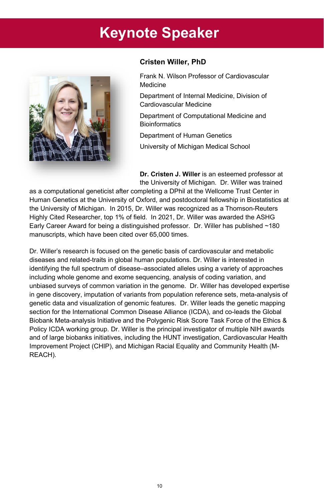# **Keynote Speaker**



#### **Cristen Willer, PhD**

Frank N. Wilson Professor of Cardiovascular Medicine

Department of Internal Medicine, Division of Cardiovascular Medicine

Department of Computational Medicine and **Bioinformatics** 

Department of Human Genetics

University of Michigan Medical School

**Dr. Cristen J. Willer** is an esteemed professor at the University of Michigan. Dr. Willer was trained

as a computational geneticist after completing a DPhil at the Wellcome Trust Center in Human Genetics at the University of Oxford, and postdoctoral fellowship in Biostatistics at the University of Michigan. In 2015, Dr. Willer was recognized as a Thomson-Reuters Highly Cited Researcher, top 1% of field. In 2021, Dr. Willer was awarded the ASHG Early Career Award for being a distinguished professor. Dr. Willer has published ~180 manuscripts, which have been cited over 65,000 times.

Dr. Willer's research is focused on the genetic basis of cardiovascular and metabolic diseases and related-traits in global human populations. Dr. Willer is interested in identifying the full spectrum of disease–associated alleles using a variety of approaches including whole genome and exome sequencing, analysis of coding variation, and unbiased surveys of common variation in the genome. Dr. Willer has developed expertise in gene discovery, imputation of variants from population reference sets, meta-analysis of genetic data and visualization of genomic features. Dr. Willer leads the genetic mapping section for the International Common Disease Alliance (ICDA), and co-leads the Global Biobank Meta-analysis Initiative and the Polygenic Risk Score Task Force of the Ethics & Policy ICDA working group. Dr. Willer is the principal investigator of multiple NIH awards and of large biobanks initiatives, including the HUNT investigation, Cardiovascular Health Improvement Project (CHIP), and Michigan Racial Equality and Community Health (M-REACH).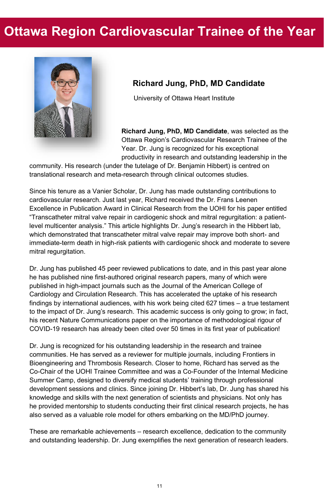### **Ottawa Region Cardiovascular Trainee of the Year**



#### **Richard Jung, PhD, MD Candidate**

University of Ottawa Heart Institute

**Richard Jung, PhD, MD Candidate**, was selected as the Ottawa Region's Cardiovascular Research Trainee of the Year. Dr. Jung is recognized for his exceptional productivity in research and outstanding leadership in the

community. His research (under the tutelage o[f Dr. Benjamin Hibbert\)](https://www.ottawaheart.ca/physician-researcher-profile/hibbert-benjamin) is centred on translational research and meta-research through clinical outcomes studies.

Since his tenure as a Vanier Scholar, Dr. Jung has made outstanding contributions to cardiovascular research. Just last year, Richard received the Dr. Frans Leenen Excellence in Publication Award in Clinical Research from the UOHI for his paper entitled "Transcatheter mitral valve repair in cardiogenic shock and mitral regurgitation: a patientlevel multicenter analysis." [This article](https://www.jacc.org/doi/abs/10.1016/j.jcin.2020.08.037) highlights Dr. Jung's research in the Hibbert lab, which demonstrated that transcatheter mitral valve repair may improve both short- and immediate-term death in high-risk patients with cardiogenic shock and moderate to severe mitral regurgitation.

Dr. Jung has published 45 peer reviewed publications to date, and in this past year alone he has published nine first-authored original research papers, many of which were published in high-impact journals such as the Journal of the American College of Cardiology and Circulation Research. This has accelerated the uptake of his research findings by international audiences, with his work being cited 627 times – a true testament to the impact of Dr. Jung's research. This academic success is only going to grow; in fact, his recent [Nature Communications paper](https://www.nature.com/articles/s41467-021-21220-5) on the importance of methodological rigour of COVID-19 research has already been cited over 50 times in its first year of publication!

Dr. Jung is recognized for his outstanding leadership in the research and trainee communities. He has served as a reviewer for multiple journals, including Frontiers in Bioengineering and Thrombosis Research. Closer to home, Richard has served as the Co-Chair of the UOHI Trainee Committee and was a Co-Founder of the Internal Medicine Summer Camp, designed to diversify medical students' training through professional development sessions and clinics. Since joining Dr. Hibbert's lab, Dr. Jung has shared his knowledge and skills with the next generation of scientists and physicians. Not only has he provided mentorship to students conducting their first clinical research projects, he has also served as a valuable role model for others embarking on the MD/PhD journey.

These are remarkable achievements – research excellence, dedication to the community and outstanding leadership. Dr. Jung exemplifies the next generation of research leaders.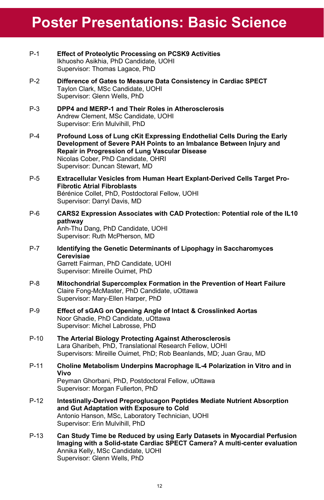# **Poster Presentations: Basic Science**

- P-1 **Effect of Proteolytic Processing on PCSK9 Activities** Ikhuosho Asikhia, PhD Candidate, UOHI Supervisor: Thomas Lagace, PhD
- P-2 **Difference of Gates to Measure Data Consistency in Cardiac SPECT** Taylon Clark, MSc Candidate, UOHI Supervisor: Glenn Wells, PhD
- P-3 **DPP4 and MERP-1 and Their Roles in Atherosclerosis** Andrew Clement, MSc Candidate, UOHI Supervisor: Erin Mulvihill, PhD
- P-4 **Profound Loss of Lung cKit Expressing Endothelial Cells During the Early Development of Severe PAH Points to an Imbalance Between Injury and Repair in Progression of Lung Vascular Disease** Nicolas Cober, PhD Candidate, OHRI Supervisor: Duncan Stewart, MD
- P-5 **Extracellular Vesicles from Human Heart Explant-Derived Cells Target Pro-Fibrotic Atrial Fibroblasts** Bérénice Collet, PhD, Postdoctoral Fellow, UOHI Supervisor: Darryl Davis, MD
- P-6 **CARS2 Expression Associates with CAD Protection: Potential role of the IL10 pathway** Anh-Thu Dang, PhD Candidate, UOHI Supervisor: Ruth McPherson, MD
- P-7 **Identifying the Genetic Determinants of Lipophagy in Saccharomyces Cerevisiae** Garrett Fairman, PhD Candidate, UOHI Supervisor: Mireille Ouimet, PhD
- P-8 **Mitochondrial Supercomplex Formation in the Prevention of Heart Failure** Claire Fong-McMaster, PhD Candidate, uOttawa Supervisor: Mary-Ellen Harper, PhD
- P-9 **Effect of sGAG on Opening Angle of Intact & Crosslinked Aortas** Noor Ghadie, PhD Candidate, uOttawa Supervisor: Michel Labrosse, PhD
- P-10 **The Arterial Biology Protecting Against Atherosclerosis**  Lara Gharibeh, PhD, Translational Research Fellow, UOHI Supervisors: Mireille Ouimet, PhD; Rob Beanlands, MD; Juan Grau, MD
- P-11 **Choline Metabolism Underpins Macrophage IL-4 Polarization in Vitro and in Vivo** Peyman Ghorbani, PhD, Postdoctoral Fellow, uOttawa Supervisor: Morgan Fullerton, PhD
- P-12 **Intestinally-Derived Preproglucagon Peptides Mediate Nutrient Absorption and Gut Adaptation with Exposure to Cold** Antonio Hanson, MSc, Laboratory Technician, UOHI Supervisor: Erin Mulvihill, PhD
- P-13 **Can Study Time be Reduced by using Early Datasets in Myocardial Perfusion Imaging with a Solid-state Cardiac SPECT Camera? A multi-center evaluation** Annika Kelly, MSc Candidate, UOHI Supervisor: Glenn Wells, PhD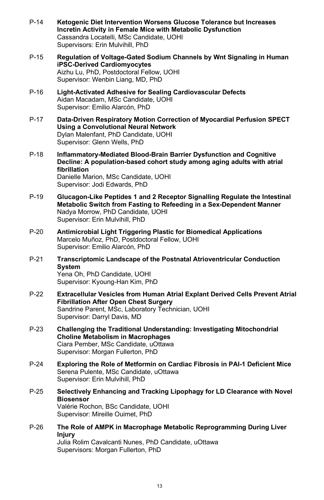- P-14 **Ketogenic Diet Intervention Worsens Glucose Tolerance but Increases Incretin Activity in Female Mice with Metabolic Dysfunction** Cassandra Locatelli, MSc Candidate, UOHI Supervisors: Erin Mulvihill, PhD
- P-15 **Regulation of Voltage-Gated Sodium Channels by Wnt Signaling in Human iPSC-Derived Cardiomyocytes** Aizhu Lu, PhD, Postdoctoral Fellow, UOHI Supervisor: Wenbin Liang, MD, PhD
- P-16 **Light-Activated Adhesive for Sealing Cardiovascular Defects** Aidan Macadam, MSc Candidate, UOHI Supervisor: Emilio Alarcón, PhD
- P-17 **Data-Driven Respiratory Motion Correction of Myocardial Perfusion SPECT Using a Convolutional Neural Network** Dylan Malenfant, PhD Candidate, UOHI Supervisor: Glenn Wells, PhD
- P-18 **Inflammatory-Mediated Blood-Brain Barrier Dysfunction and Cognitive Decline: A population-based cohort study among aging adults with atrial fibrillation** Danielle Marion, MSc Candidate, UOHI Supervisor: Jodi Edwards, PhD
- P-19 **Glucagon-Like Peptides 1 and 2 Receptor Signalling Regulate the Intestinal Metabolic Switch from Fasting to Refeeding in a Sex-Dependent Manner** Nadya Morrow, PhD Candidate, UOHI Supervisor: Erin Mulvihill, PhD
- P-20 **Antimicrobial Light Triggering Plastic for Biomedical Applications** Marcelo Muñoz, PhD, Postdoctoral Fellow, UOHI Supervisor: Emilio Alarcón, PhD
- P-21 **Transcriptomic Landscape of the Postnatal Atrioventricular Conduction System** Yena Oh, PhD Candidate, UOHI Supervisor: Kyoung-Han Kim, PhD
- P-22 **Extracellular Vesicles from Human Atrial Explant Derived Cells Prevent Atrial Fibrillation After Open Chest Surgery** Sandrine Parent, MSc, Laboratory Technician, UOHI Supervisor: Darryl Davis, MD
- P-23 **Challenging the Traditional Understanding: Investigating Mitochondrial Choline Metabolism in Macrophages** Ciara Pember, MSc Candidate, uOttawa Supervisor: Morgan Fullerton, PhD
- P-24 **Exploring the Role of Metformin on Cardiac Fibrosis in PAI-1 Deficient Mice** Serena Pulente, MSc Candidate, uOttawa Supervisor: Erin Mulvihill, PhD
- P-25 **Selectively Enhancing and Tracking Lipophagy for LD Clearance with Novel Biosensor** Valérie Rochon, BSc Candidate, UOHI Supervisor: Mireille Ouimet, PhD
- P-26 **The Role of AMPK in Macrophage Metabolic Reprogramming During Liver Injury** Julia Rolim Cavalcanti Nunes, PhD Candidate, uOttawa Supervisors: Morgan Fullerton, PhD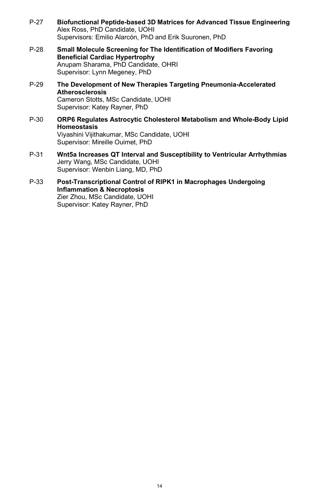- P-27 **Biofunctional Peptide-based 3D Matrices for Advanced Tissue Engineering** Alex Ross, PhD Candidate, UOHI Supervisors: Emilio Alarcón, PhD and Erik Suuronen, PhD
- P-28 **Small Molecule Screening for The Identification of Modifiers Favoring Beneficial Cardiac Hypertrophy** Anupam Sharama, PhD Candidate, OHRI Supervisor: Lynn Megeney, PhD
- P-29 **The Development of New Therapies Targeting Pneumonia-Accelerated Atherosclerosis**  Cameron Stotts, MSc Candidate, UOHI Supervisor: Katey Rayner, PhD
- P-30 **ORP6 Regulates Astrocytic Cholesterol Metabolism and Whole-Body Lipid Homeostasis** Viyashini Vijithakumar, MSc Candidate, UOHI Supervisor: Mireille Ouimet, PhD
- P-31 **Wnt5a Increases QT Interval and Susceptibility to Ventricular Arrhythmias** Jerry Wang, MSc Candidate, UOHI Supervisor: Wenbin Liang, MD, PhD
- P-33 **Post-Transcriptional Control of RIPK1 in Macrophages Undergoing Inflammation & Necroptosis** Zier Zhou, MSc Candidate, UOHI Supervisor: Katey Rayner, PhD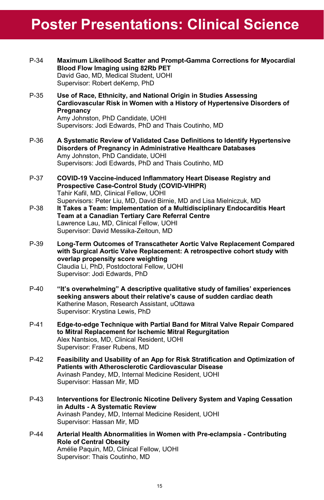# **Poster Presentations: Clinical Science**

| P-34   | Maximum Likelihood Scatter and Prompt-Gamma Corrections for Myocardial<br>Blood Flow Imaging using 82Rb PET<br>David Gao, MD, Medical Student, UOHI<br>Supervisor: Robert deKemp, PhD                                                                                   |
|--------|-------------------------------------------------------------------------------------------------------------------------------------------------------------------------------------------------------------------------------------------------------------------------|
| P-35   | Use of Race, Ethnicity, and National Origin in Studies Assessing<br>Cardiovascular Risk in Women with a History of Hypertensive Disorders of<br>Pregnancy<br>Amy Johnston, PhD Candidate, UOHI<br>Supervisors: Jodi Edwards, PhD and Thais Coutinho, MD                 |
| P-36   | A Systematic Review of Validated Case Definitions to Identify Hypertensive<br>Disorders of Pregnancy in Administrative Healthcare Databases<br>Amy Johnston, PhD Candidate, UOHI<br>Supervisors: Jodi Edwards, PhD and Thais Coutinho, MD                               |
| P-37   | COVID-19 Vaccine-induced Inflammatory Heart Disease Registry and<br><b>Prospective Case-Control Study (COVID-VIHPR)</b><br>Tahir Kafil, MD, Clinical Fellow, UOHI<br>Supervisors: Peter Liu, MD, David Birnie, MD and Lisa Mielniczuk, MD                               |
| P-38   | It Takes a Team: Implementation of a Multidisciplinary Endocarditis Heart<br>Team at a Canadian Tertiary Care Referral Centre<br>Lawrence Lau, MD, Clinical Fellow, UOHI<br>Supervisor: David Messika-Zeitoun, MD                                                       |
| P-39   | Long-Term Outcomes of Transcatheter Aortic Valve Replacement Compared<br>with Surgical Aortic Valve Replacement: A retrospective cohort study with<br>overlap propensity score weighting<br>Claudia Li, PhD, Postdoctoral Fellow, UOHI<br>Supervisor: Jodi Edwards, PhD |
| $P-40$ | "It's overwhelming" A descriptive qualitative study of families' experiences<br>seeking answers about their relative's cause of sudden cardiac death<br>Katherine Mason, Research Assistant, uOttawa<br>Supervisor: Krystina Lewis, PhD                                 |
| P-41   | Edge-to-edge Technique with Partial Band for Mitral Valve Repair Compared<br>to Mitral Replacement for Ischemic Mitral Regurgitation<br>Alex Nantsios, MD, Clinical Resident, UOHI<br>Supervisor: Fraser Rubens, MD                                                     |
| $P-42$ | Feasibility and Usability of an App for Risk Stratification and Optimization of<br><b>Patients with Atherosclerotic Cardiovascular Disease</b><br>Avinash Pandey, MD, Internal Medicine Resident, UOHI<br>Supervisor: Hassan Mir, MD                                    |
| $P-43$ | Interventions for Electronic Nicotine Delivery System and Vaping Cessation<br>in Adults - A Systematic Review<br>Avinash Pandey, MD, Internal Medicine Resident, UOHI<br>Supervisor: Hassan Mir, MD                                                                     |
| $P-44$ | Arterial Health Abnormalities in Women with Pre-eclampsia - Contributing<br><b>Role of Central Obesity</b><br>Amélie Paquin, MD, Clinical Fellow, UOHI<br>Supervisor: Thais Coutinho, MD                                                                                |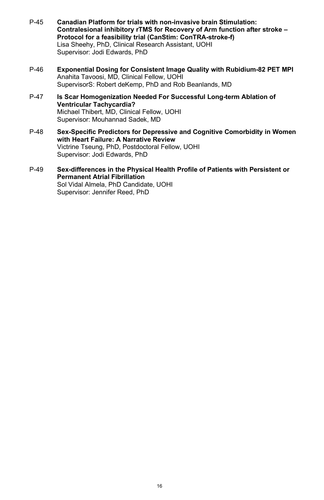- P-45 **Canadian Platform for trials with non-invasive brain Stimulation: Contralesional inhibitory rTMS for Recovery of Arm function after stroke – Protocol for a feasibility trial (CanStim: ConTRA-stroke-f)**  Lisa Sheehy, PhD, Clinical Research Assistant, UOHI Supervisor: Jodi Edwards, PhD
- P-46 **Exponential Dosing for Consistent Image Quality with Rubidium-82 PET MPI**  Anahita Tavoosi, MD, Clinical Fellow, UOHI SupervisorS: Robert deKemp, PhD and Rob Beanlands, MD
- P-47 **Is Scar Homogenization Needed For Successful Long-term Ablation of Ventricular Tachycardia?**  Michael Thibert, MD, Clinical Fellow, UOHI Supervisor: Mouhannad Sadek, MD
- P-48 **Sex-Specific Predictors for Depressive and Cognitive Comorbidity in Women with Heart Failure: A Narrative Review**  Victrine Tseung, PhD, Postdoctoral Fellow, UOHI Supervisor: Jodi Edwards, PhD
- P-49 **Sex-differences in the Physical Health Profile of Patients with Persistent or Permanent Atrial Fibrillation**  Sol Vidal Almela, PhD Candidate, UOHI Supervisor: Jennifer Reed, PhD